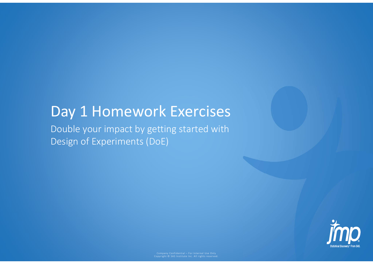# Day 1 Homework Exercises

Double your impact by getting started with Design of Experiments (DoE)

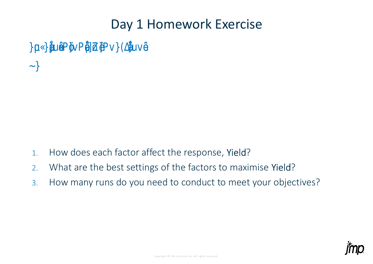## Day 1 Homework Exercise

y ettin started with Desi no Do e yo rimpact Experim **DoE** 

### Experiment one-factor-at-a-time

Questions:

- How does each factor affect the response, Yield?  $\mathbf{1}$ .
- What are the best settings of the factors to maximise Yield?  $2<sub>1</sub>$
- How many runs do you need to conduct to meet your objectives?  $\overline{3}$ .

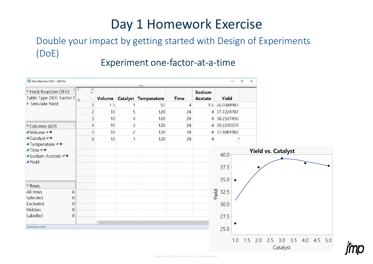# Day 1 Homework Exercise

### Double your impact by getting started with Design of Experiments (DoE)

### Experiment one-factor-at-a-time

| Heck Reaction OFAT - JMP Pro<br>$\Box$<br>$\times$<br>$\overline{\phantom{a}}$ |              |                      |                |                                         |                |                   |                         |                                                                   |
|--------------------------------------------------------------------------------|--------------|----------------------|----------------|-----------------------------------------|----------------|-------------------|-------------------------|-------------------------------------------------------------------|
| <b>E</b> Heck Reaction OFAT<br>Table Type DOE Factor T                         | D            | $\frac{1}{\sqrt{2}}$ |                | $\cdots$<br>Volume Catalyst Temperature | <b>Time</b>    | Sodium<br>Acetate | Yield                   |                                                                   |
| ▶ Simulate Yield                                                               |              | 1.5                  | 1              | 50                                      | $\overline{4}$ |                   | 1.5 26.0384983          |                                                                   |
|                                                                                |              | $\overline{c}$<br>10 | 5              | 120                                     | 24             |                   | 4 37.7224787            |                                                                   |
|                                                                                |              | 3<br>10              | 4              | 120                                     | 24             |                   | 4 38.2527456            |                                                                   |
| Columns (6/0)                                                                  |              | 10<br>$\overline{4}$ | 3              | 120                                     | 24             |                   | 4 39.2239579            |                                                                   |
| ▲Volume ◆ *                                                                    |              | 5<br>10              | $\overline{c}$ | 120                                     | 24             |                   | 4 37.4081982            |                                                                   |
| ▲Catalyst **                                                                   |              | 6<br>10              | $\mathbf{1}$   | 120                                     | 24             | $\overline{4}$    |                         |                                                                   |
| ▲Temperature ◆ *                                                               |              |                      |                |                                         |                |                   |                         |                                                                   |
| <b>⊿Time</b><br>▲ Sodium Acetate                                               |              |                      |                |                                         |                |                   | 40.0                    | <b>Yield vs. Catalyst</b>                                         |
| <b>▲Yield</b>                                                                  |              |                      |                |                                         |                |                   |                         |                                                                   |
|                                                                                |              |                      |                |                                         |                |                   | 37.5                    |                                                                   |
|                                                                                |              |                      |                |                                         |                |                   |                         |                                                                   |
| Rows <sup>-</sup>                                                              |              |                      |                |                                         |                |                   | 35.0 <sub>1</sub>       | $\bullet$                                                         |
| <b>All rows</b>                                                                | 6            |                      |                |                                         |                |                   | Yield<br>$32.5^{\circ}$ |                                                                   |
| Selected                                                                       | $\Omega$     |                      |                |                                         |                |                   |                         |                                                                   |
| Excluded                                                                       | $\mathbf{0}$ |                      |                |                                         |                |                   | 30.0                    |                                                                   |
| Hidden                                                                         | $\Omega$     |                      |                |                                         |                |                   |                         |                                                                   |
| Labelled                                                                       | $\mathbf{0}$ |                      |                |                                         |                |                   | $27.5 -$                |                                                                   |
| evaluations done                                                               |              |                      |                |                                         |                |                   | 25.0                    |                                                                   |
|                                                                                |              |                      |                |                                         |                |                   |                         |                                                                   |
|                                                                                |              |                      |                |                                         |                |                   |                         | 2.5 3.0 3.5<br>4.5<br>4.0<br>5.0<br>1.5<br>2.0<br>1.0<br>Catalyst |